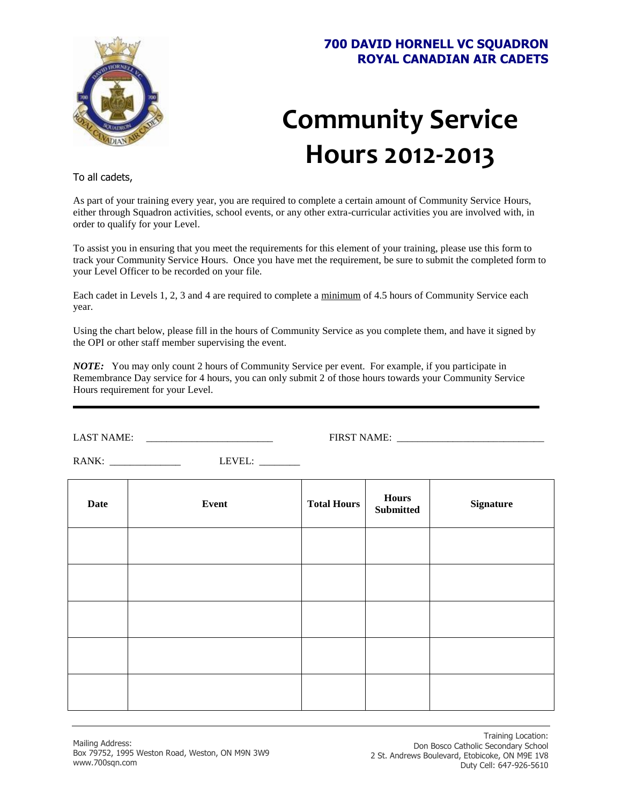

## **700 DAVID HORNELL VC SQUADRON ROYAL CANADIAN AIR CADETS**

## **Community Service Hours 2012-2013**

To all cadets,

As part of your training every year, you are required to complete a certain amount of Community Service Hours, either through Squadron activities, school events, or any other extra-curricular activities you are involved with, in order to qualify for your Level.

To assist you in ensuring that you meet the requirements for this element of your training, please use this form to track your Community Service Hours. Once you have met the requirement, be sure to submit the completed form to your Level Officer to be recorded on your file.

Each cadet in Levels 1, 2, 3 and 4 are required to complete a minimum of 4.5 hours of Community Service each year.

Using the chart below, please fill in the hours of Community Service as you complete them, and have it signed by the OPI or other staff member supervising the event.

*NOTE:* You may only count 2 hours of Community Service per event. For example, if you participate in Remembrance Day service for 4 hours, you can only submit 2 of those hours towards your Community Service Hours requirement for your Level.

LAST NAME: \_\_\_\_\_\_\_\_\_\_\_\_\_\_\_\_\_\_\_\_\_\_\_\_\_ FIRST NAME: \_\_\_\_\_\_\_\_\_\_\_\_\_\_\_\_\_\_\_\_\_\_\_\_\_\_\_\_\_

RANK: \_\_\_\_\_\_\_\_\_\_\_\_\_\_ LEVEL: \_\_\_\_\_\_\_\_

| <b>Date</b> | Event | <b>Total Hours</b> | <b>Hours</b><br><b>Submitted</b> | <b>Signature</b> |
|-------------|-------|--------------------|----------------------------------|------------------|
|             |       |                    |                                  |                  |
|             |       |                    |                                  |                  |
|             |       |                    |                                  |                  |
|             |       |                    |                                  |                  |
|             |       |                    |                                  |                  |